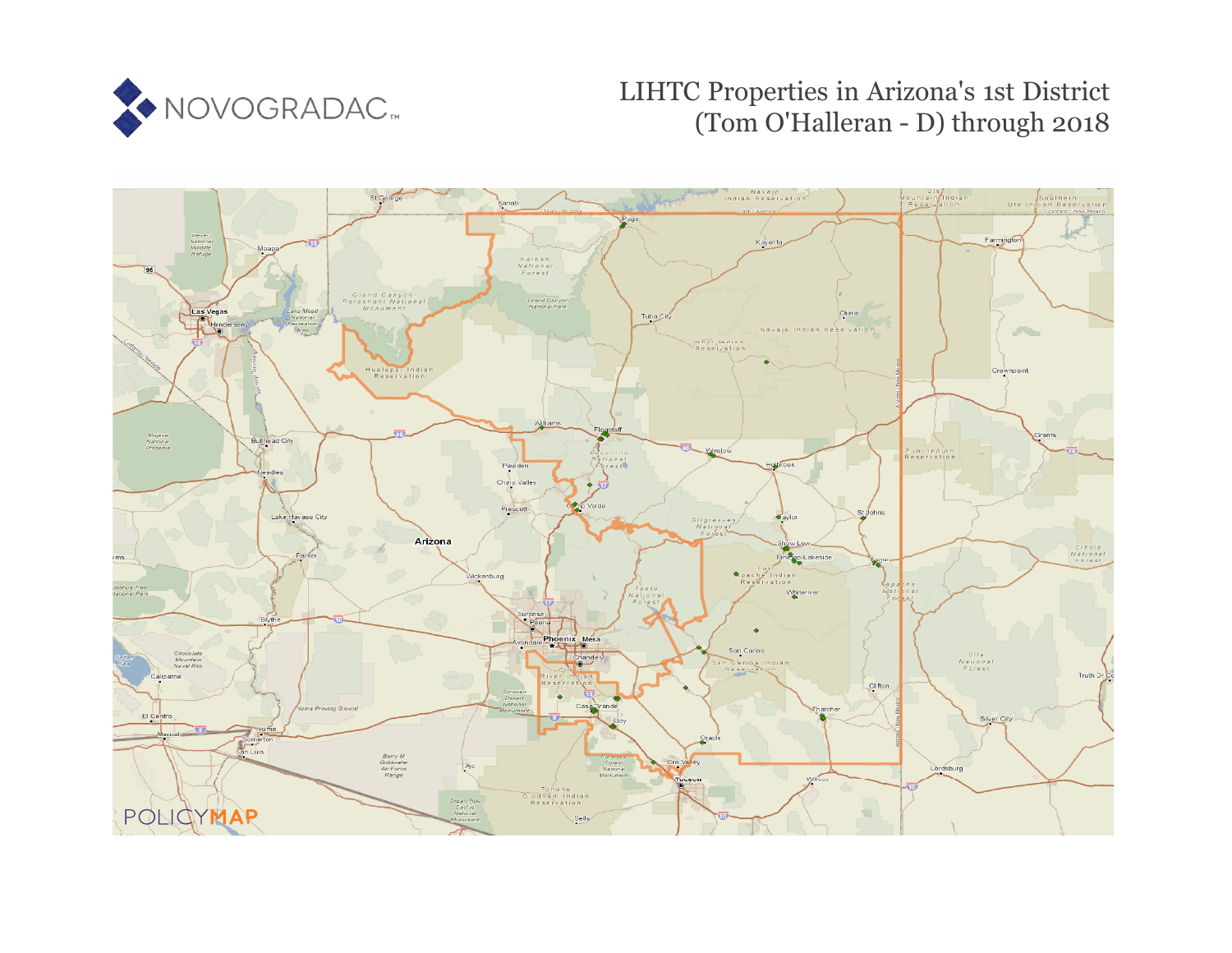

# LIHTC Properties in Arizona's 1st District (Tom O'Halleran - D) through 2018

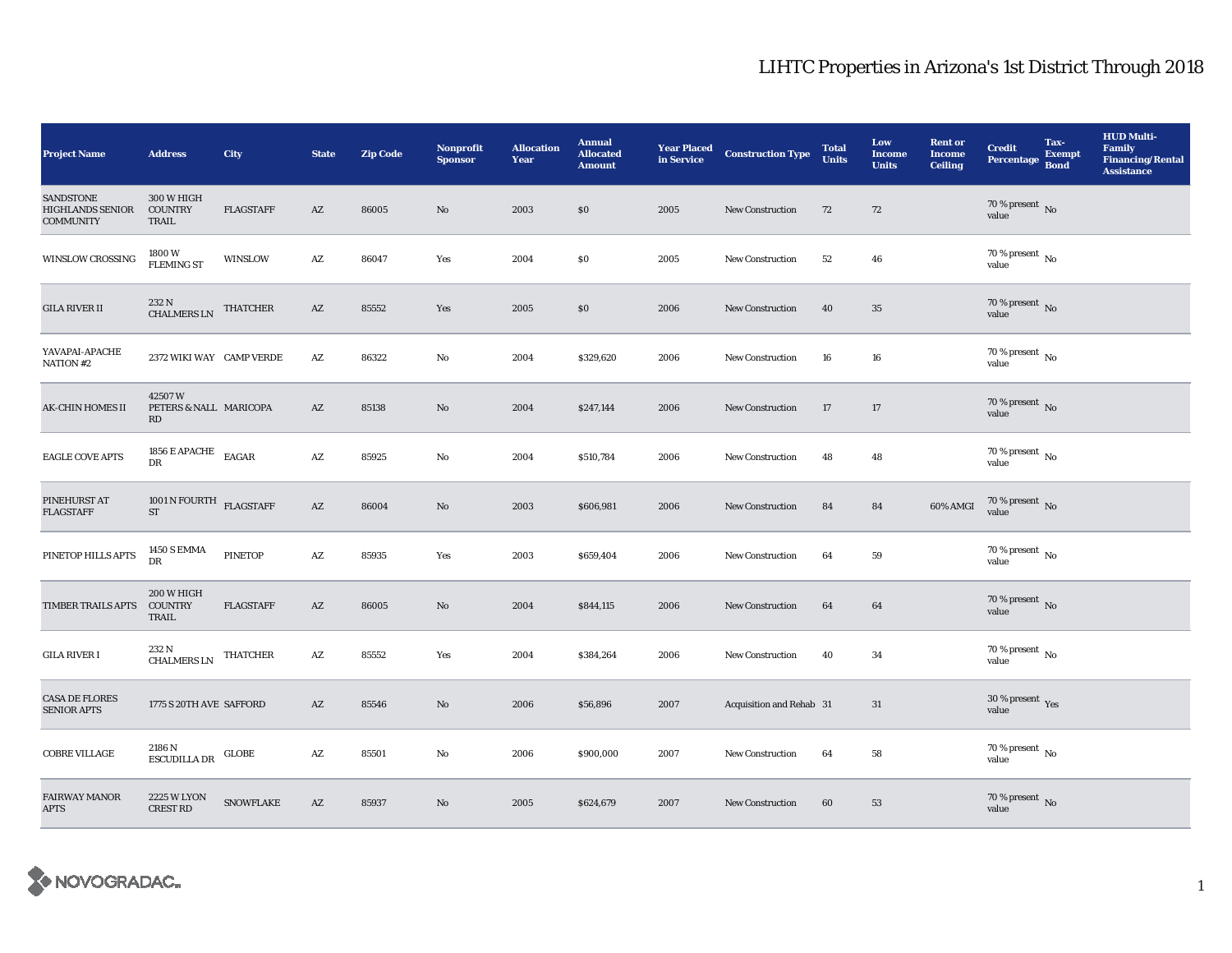| <b>Project Name</b>                                             | <b>Address</b>                         | <b>City</b>                                | <b>State</b>           | <b>Zip Code</b> | <b>Nonprofit</b><br><b>Sponsor</b> | <b>Allocation</b><br>Year | <b>Annual</b><br><b>Allocated</b><br><b>Amount</b> | <b>Year Placed<br/>in Service</b> | <b>Construction Type</b> | <b>Total</b><br><b>Units</b> | Low<br><b>Income</b><br><b>Units</b> | <b>Rent or</b><br><b>Income</b><br><b>Ceiling</b> | <b>Credit</b><br><b>Percentage</b>     | Tax-<br><b>Exempt</b><br><b>Bond</b> | <b>HUD Multi-</b><br><b>Family</b><br><b>Financing/Rental</b><br><b>Assistance</b> |
|-----------------------------------------------------------------|----------------------------------------|--------------------------------------------|------------------------|-----------------|------------------------------------|---------------------------|----------------------------------------------------|-----------------------------------|--------------------------|------------------------------|--------------------------------------|---------------------------------------------------|----------------------------------------|--------------------------------------|------------------------------------------------------------------------------------|
| <b>SANDSTONE</b><br><b>HIGHLANDS SENIOR</b><br><b>COMMUNITY</b> | 300 W HIGH<br><b>COUNTRY</b><br>TRAIL  | <b>FLAGSTAFF</b>                           | AZ                     | 86005           | $\mathbf{N}\mathbf{o}$             | 2003                      | $\$0$                                              | 2005                              | <b>New Construction</b>  | 72                           | 72                                   |                                                   | $70$ % present $\,$ No value           |                                      |                                                                                    |
| <b>WINSLOW CROSSING</b>                                         | 1800W<br><b>FLEMING ST</b>             | WINSLOW                                    | $\mathbf{A}\mathbf{Z}$ | 86047           | Yes                                | 2004                      | \$0                                                | 2005                              | <b>New Construction</b>  | 52                           | 46                                   |                                                   | 70 % present $\,$ No $\,$<br>value     |                                      |                                                                                    |
| <b>GILA RIVER II</b>                                            | 232 N<br><b>CHALMERS LN</b>            | <b>THATCHER</b>                            | AZ                     | 85552           | Yes                                | 2005                      | \$0                                                | 2006                              | <b>New Construction</b>  | 40                           | 35                                   |                                                   | $70$ % present $\,$ No value           |                                      |                                                                                    |
| YAVAPAI-APACHE<br>NATION #2                                     | 2372 WIKI WAY CAMP VERDE               |                                            | $\mathbf{A}\mathbf{Z}$ | 86322           | No                                 | 2004                      | \$329,620                                          | 2006                              | New Construction         | 16                           | $16\,$                               |                                                   | 70 % present $\,$ No $\,$<br>value     |                                      |                                                                                    |
| <b>AK-CHIN HOMES II</b>                                         | 42507W<br>PETERS & NALL MARICOPA<br>RD |                                            | AZ                     | 85138           | No                                 | 2004                      | \$247,144                                          | 2006                              | <b>New Construction</b>  | 17                           | $17\,$                               |                                                   | $70\,\%$ present $\,$ No value         |                                      |                                                                                    |
| <b>EAGLE COVE APTS</b>                                          | 1856 E APACHE $_{\rm EAGAR}$<br>DR     |                                            | $\mathbf{A}\mathbf{Z}$ | 85925           | No                                 | 2004                      | \$510,784                                          | 2006                              | <b>New Construction</b>  | 48                           | 48                                   |                                                   | 70 % present $\,$ No $\,$<br>value     |                                      |                                                                                    |
| PINEHURST AT<br><b>FLAGSTAFF</b>                                | 1001 N FOURTH $$\rm FLAGSTAFF$$<br>ST  |                                            | $\mathbf{A}\mathbf{Z}$ | 86004           | No                                 | 2003                      | \$606,981                                          | 2006                              | <b>New Construction</b>  | 84                           | 84                                   | 60% AMGI                                          | $70\,\%$ present $\,$ No value         |                                      |                                                                                    |
| PINETOP HILLS APTS                                              | <b>1450 S EMMA</b><br>DR               | <b>PINETOP</b>                             | $\mathbf{A}\mathbf{Z}$ | 85935           | Yes                                | 2003                      | \$659,404                                          | 2006                              | <b>New Construction</b>  | 64                           | 59                                   |                                                   | $70\,\%$ present $\,$ No $\,$<br>value |                                      |                                                                                    |
| TIMBER TRAILS APTS                                              | 200 W HIGH<br><b>COUNTRY</b><br>TRAIL  | <b>FLAGSTAFF</b>                           | AZ                     | 86005           | No                                 | 2004                      | \$844,115                                          | 2006                              | New Construction         | 64                           | 64                                   |                                                   | 70 % present $\,$ No $\,$<br>value     |                                      |                                                                                    |
| <b>GILA RIVER I</b>                                             | 232 N<br><b>CHALMERS LN</b>            | <b>THATCHER</b>                            | AZ                     | 85552           | Yes                                | 2004                      | \$384,264                                          | 2006                              | New Construction         | 40                           | 34                                   |                                                   | 70 % present $\,$ No $\,$<br>value     |                                      |                                                                                    |
| <b>CASA DE FLORES</b><br><b>SENIOR APTS</b>                     | 1775 S 20TH AVE SAFFORD                |                                            | AZ                     | 85546           | No                                 | 2006                      | \$56,896                                           | 2007                              | Acquisition and Rehab 31 |                              | 31                                   |                                                   | $30\,\%$ present $\,$ Yes value        |                                      |                                                                                    |
| COBRE VILLAGE                                                   | 2186 N<br>ESCUDILLA DR                 | $_{\textrm{\textbf{G}}\text{-}\mathbf{C}}$ | $\mathbf{A}\mathbf{Z}$ | 85501           | No                                 | 2006                      | \$900,000                                          | 2007                              | <b>New Construction</b>  | 64                           | 58                                   |                                                   | $70$ % present $\,$ No $\,$<br>value   |                                      |                                                                                    |
| <b>FAIRWAY MANOR</b><br><b>APTS</b>                             | <b>2225 W LYON</b><br><b>CREST RD</b>  | <b>SNOWFLAKE</b>                           | AZ                     | 85937           | No                                 | 2005                      | \$624,679                                          | 2007                              | <b>New Construction</b>  | 60                           | 53                                   |                                                   | $70$ % present $\,$ No value           |                                      |                                                                                    |

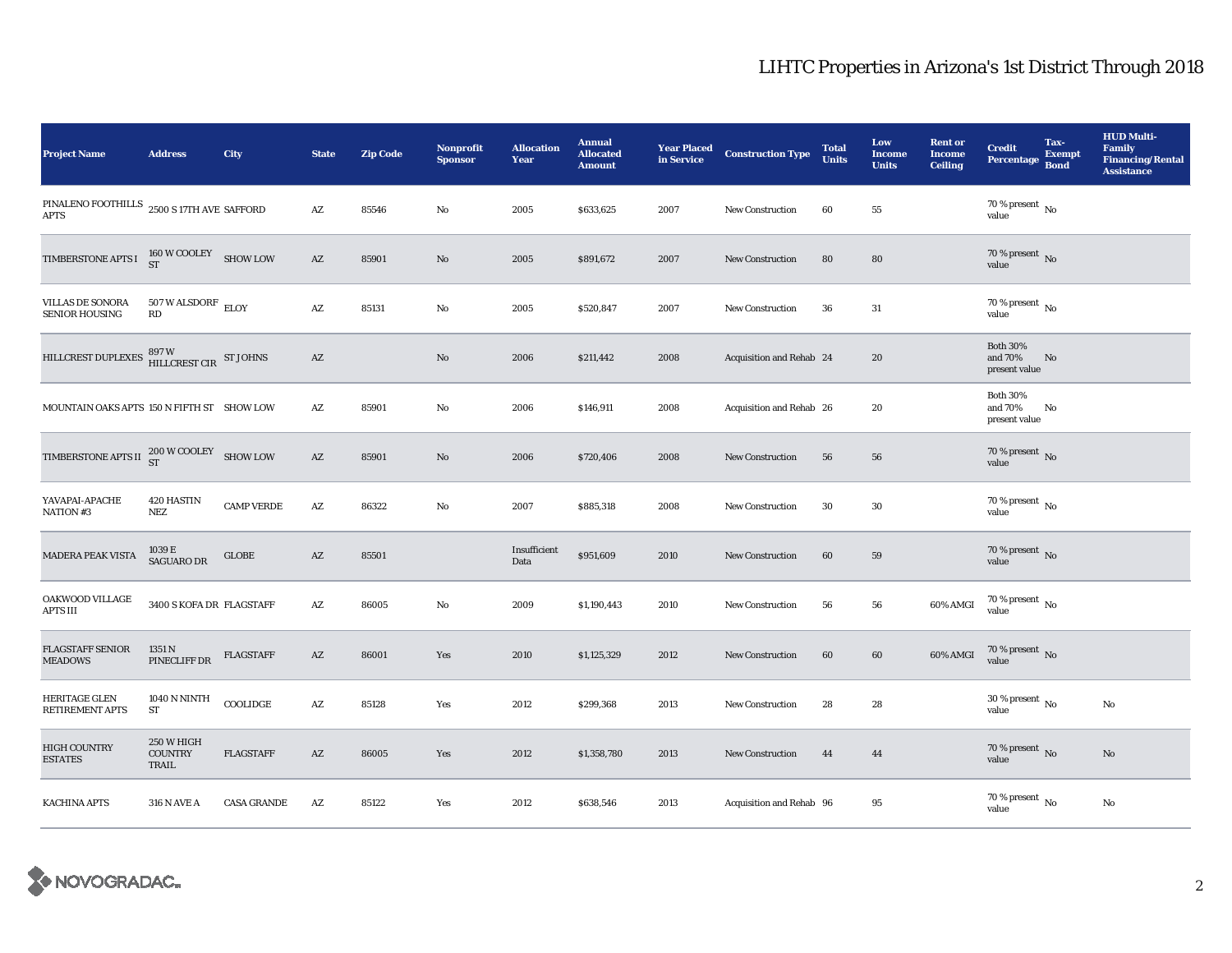| <b>Project Name</b>                                                      | <b>Address</b>                         | City               | <b>State</b>           | <b>Zip Code</b> | <b>Nonprofit</b><br><b>Sponsor</b> | <b>Allocation</b><br>Year | <b>Annual</b><br><b>Allocated</b><br><b>Amount</b> | <b>Year Placed</b><br>in Service | <b>Construction Type</b> | <b>Total</b><br><b>Units</b> | Low<br><b>Income</b><br><b>Units</b> | <b>Rent or</b><br><b>Income</b><br><b>Ceiling</b> | <b>Credit</b><br>Percentage Bond            | Tax-<br><b>Exempt</b> | <b>HUD Multi-</b><br><b>Family</b><br><b>Financing/Rental</b><br><b>Assistance</b> |
|--------------------------------------------------------------------------|----------------------------------------|--------------------|------------------------|-----------------|------------------------------------|---------------------------|----------------------------------------------------|----------------------------------|--------------------------|------------------------------|--------------------------------------|---------------------------------------------------|---------------------------------------------|-----------------------|------------------------------------------------------------------------------------|
| PINALENO FOOTHILLS $\,$ 2500 S 17TH AVE SAFFORD<br><b>APTS</b>           |                                        |                    | $\mathbf{A}\mathbf{Z}$ | 85546           | No                                 | 2005                      | \$633,625                                          | 2007                             | <b>New Construction</b>  | 60                           | 55                                   |                                                   | $70$ % present $\,$ No $\,$<br>value        |                       |                                                                                    |
| TIMBERSTONE APTS I                                                       | $160 \, \mathrm{W}$ COOLEY SHOW LOW ST |                    | AZ                     | 85901           | No                                 | 2005                      | \$891,672                                          | 2007                             | <b>New Construction</b>  | 80                           | 80                                   |                                                   | $70$ % present $\,$ No value                |                       |                                                                                    |
| <b>VILLAS DE SONORA</b><br><b>SENIOR HOUSING</b>                         | $507$ W ALSDORF $\,$ ELOY<br>RD        |                    | $\mathbf{A}\mathbf{Z}$ | 85131           | No                                 | 2005                      | \$520,847                                          | 2007                             | <b>New Construction</b>  | 36                           | 31                                   |                                                   | 70 % present $\,$ No $\,$<br>value          |                       |                                                                                    |
| HILLCREST DUPLEXES $\frac{897 \text{ W}}{\text{HILLCREST CIR}}$ ST JOHNS |                                        |                    | $\mathbf{A}\mathbf{Z}$ |                 | No                                 | 2006                      | \$211,442                                          | 2008                             | Acquisition and Rehab 24 |                              | 20                                   |                                                   | <b>Both 30%</b><br>and 70%<br>present value | No                    |                                                                                    |
| MOUNTAIN OAKS APTS 150 N FIFTH ST SHOW LOW                               |                                        |                    | AZ                     | 85901           | No                                 | 2006                      | \$146,911                                          | 2008                             | Acquisition and Rehab 26 |                              | 20                                   |                                                   | <b>Both 30%</b><br>and 70%<br>present value | No                    |                                                                                    |
| TIMBERSTONE APTS II $^{200}_{\text{ST}}$ W COOLEY SHOW LOW               |                                        |                    | $\mathbf{A}\mathbf{Z}$ | 85901           | No                                 | 2006                      | \$720,406                                          | 2008                             | New Construction         | 56                           | 56                                   |                                                   | 70 % present $\,$ No $\,$<br>value          |                       |                                                                                    |
| YAVAPAI-APACHE<br>NATION #3                                              | 420 HASTIN<br><b>NEZ</b>               | <b>CAMP VERDE</b>  | AZ                     | 86322           | No                                 | 2007                      | \$885,318                                          | 2008                             | <b>New Construction</b>  | 30                           | 30                                   |                                                   | 70 % present $\,$ No $\,$<br>value          |                       |                                                                                    |
| MADERA PEAK VISTA                                                        | 1039 E<br><b>SAGUARO DR</b>            | $_{\rm GLOBE}$     | $\mathbf{A}\mathbf{Z}$ | 85501           |                                    | Insufficient<br>Data      | \$951,609                                          | 2010                             | <b>New Construction</b>  | 60                           | 59                                   |                                                   | $70$ % present $\,$ No value                |                       |                                                                                    |
| OAKWOOD VILLAGE<br><b>APTS III</b>                                       | 3400 S KOFA DR FLAGSTAFF               |                    | $\mathbf{A}\mathbf{Z}$ | 86005           | No                                 | 2009                      | \$1,190,443                                        | 2010                             | <b>New Construction</b>  | 56                           | 56                                   | 60% AMGI                                          | $70\,\%$ present $\,$ No value              |                       |                                                                                    |
| <b>FLAGSTAFF SENIOR</b><br><b>MEADOWS</b>                                | 1351 N<br>PINECLIFF DR                 | <b>FLAGSTAFF</b>   | AZ                     | 86001           | Yes                                | 2010                      | \$1,125,329                                        | 2012                             | <b>New Construction</b>  | 60                           | 60                                   | 60% AMGI                                          | $70\,\%$ present $_{\rm{No}}$               |                       |                                                                                    |
| <b>HERITAGE GLEN</b><br><b>RETIREMENT APTS</b>                           | <b>1040 N NINTH</b><br>ST              | COOLIDGE           | $\mathbf{A}\mathbf{Z}$ | 85128           | Yes                                | 2012                      | \$299,368                                          | 2013                             | <b>New Construction</b>  | 28                           | 28                                   |                                                   | $30\,\%$ present $\,$ No value              |                       | No                                                                                 |
| <b>HIGH COUNTRY</b><br><b>ESTATES</b>                                    | 250 W HIGH<br><b>COUNTRY</b><br>TRAIL  | <b>FLAGSTAFF</b>   | AZ                     | 86005           | Yes                                | 2012                      | \$1,358,780                                        | 2013                             | <b>New Construction</b>  | 44                           | 44                                   |                                                   | 70 % present $\,$ No $\,$<br>value          |                       | No                                                                                 |
| <b>KACHINA APTS</b>                                                      | <b>316 N AVE A</b>                     | <b>CASA GRANDE</b> | AZ                     | 85122           | Yes                                | 2012                      | \$638,546                                          | 2013                             | Acquisition and Rehab 96 |                              | 95                                   |                                                   | $70$ % present $\,$ No $\,$<br>value        |                       | No                                                                                 |

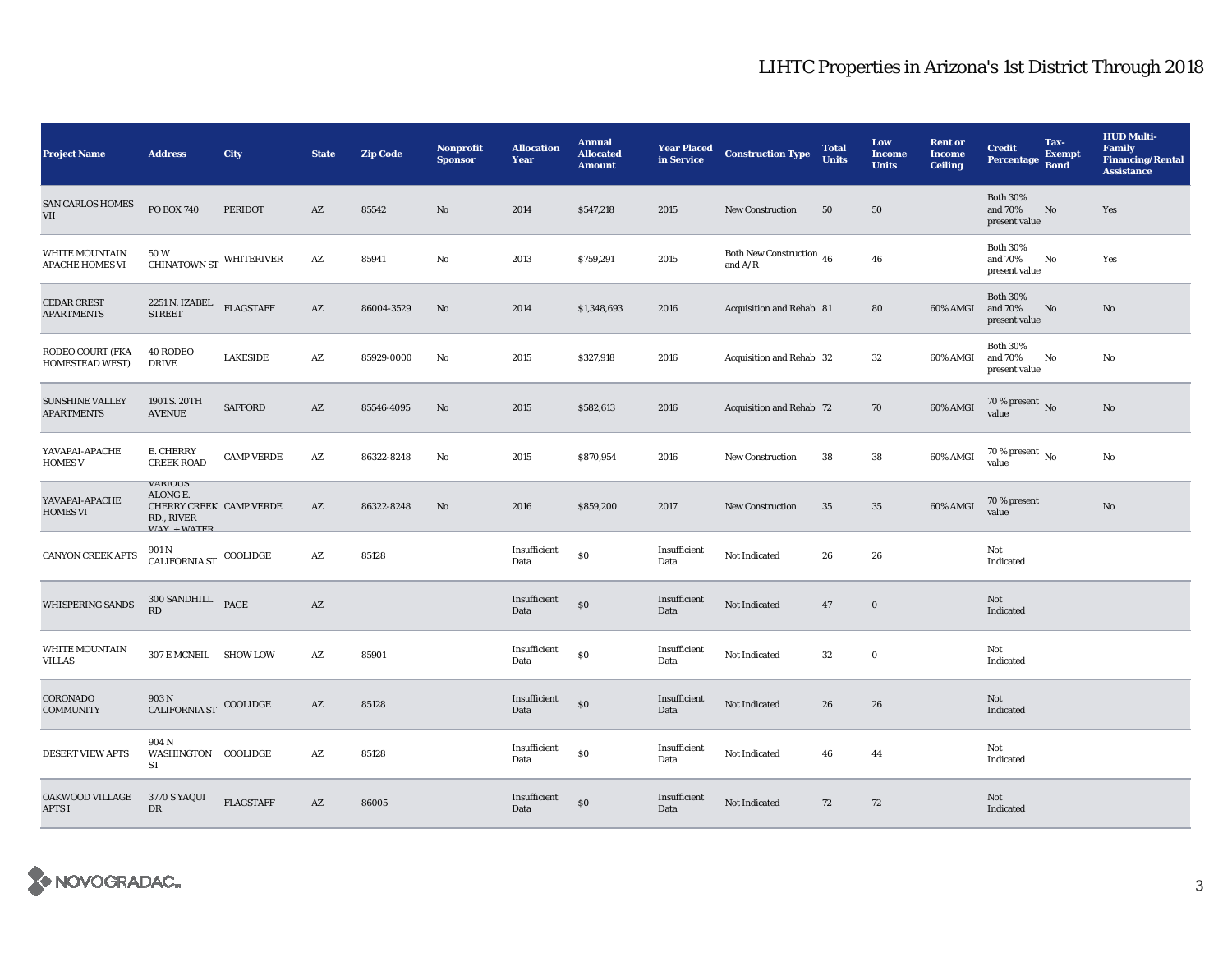| <b>Project Name</b>                             | <b>Address</b>                                                                            | City              | <b>State</b>           | <b>Zip Code</b> | <b>Nonprofit</b><br><b>Sponsor</b> | <b>Allocation</b><br>Year | <b>Annual</b><br><b>Allocated</b><br><b>Amount</b> | <b>Year Placed</b><br>in Service | <b>Construction Type</b>              | <b>Total</b><br><b>Units</b> | Low<br><b>Income</b><br><b>Units</b> | <b>Rent or</b><br><b>Income</b><br><b>Ceiling</b> | <b>Credit</b><br><b>Percentage</b>          | Tax-<br><b>Exempt</b><br><b>Bond</b> | <b>HUD Multi-</b><br><b>Family</b><br><b>Financing/Rental</b><br><b>Assistance</b> |
|-------------------------------------------------|-------------------------------------------------------------------------------------------|-------------------|------------------------|-----------------|------------------------------------|---------------------------|----------------------------------------------------|----------------------------------|---------------------------------------|------------------------------|--------------------------------------|---------------------------------------------------|---------------------------------------------|--------------------------------------|------------------------------------------------------------------------------------|
| <b>SAN CARLOS HOMES</b><br>VII                  | PO BOX 740                                                                                | <b>PERIDOT</b>    | AZ                     | 85542           | No                                 | 2014                      | \$547,218                                          | 2015                             | <b>New Construction</b>               | 50                           | 50                                   |                                                   | <b>Both 30%</b><br>and 70%<br>present value | No                                   | Yes                                                                                |
| <b>WHITE MOUNTAIN</b><br><b>APACHE HOMES VI</b> | 50 W<br>CHINATOWN ST WHITERIVER                                                           |                   | AZ                     | 85941           | No                                 | 2013                      | \$759,291                                          | 2015                             | Both New Construction 46<br>and $A/R$ |                              | 46                                   |                                                   | <b>Both 30%</b><br>and 70%<br>present value | No                                   | Yes                                                                                |
| <b>CEDAR CREST</b><br><b>APARTMENTS</b>         | 2251 N. IZABEL<br><b>STREET</b>                                                           | <b>FLAGSTAFF</b>  | $\mathbf{A}\mathbf{Z}$ | 86004-3529      | No                                 | 2014                      | \$1,348,693                                        | 2016                             | Acquisition and Rehab 81              |                              | 80                                   | 60% AMGI                                          | <b>Both 30%</b><br>and 70%<br>present value | No                                   | No                                                                                 |
| RODEO COURT (FKA<br><b>HOMESTEAD WEST)</b>      | 40 RODEO<br><b>DRIVE</b>                                                                  | <b>LAKESIDE</b>   | AZ                     | 85929-0000      | No                                 | 2015                      | \$327,918                                          | 2016                             | Acquisition and Rehab 32              |                              | $32\,$                               | 60% AMGI                                          | <b>Both 30%</b><br>and 70%<br>present value | No                                   | $\mathbf{N}\mathbf{o}$                                                             |
| <b>SUNSHINE VALLEY</b><br><b>APARTMENTS</b>     | 1901 S. 20TH<br><b>AVENUE</b>                                                             | <b>SAFFORD</b>    | $\mathbf{A}\mathbf{Z}$ | 85546-4095      | No                                 | 2015                      | \$582,613                                          | 2016                             | Acquisition and Rehab 72              |                              | 70                                   | 60% AMGI                                          | 70 % present $\,$ No $\,$<br>value          |                                      | No                                                                                 |
| YAVAPAI-APACHE<br><b>HOMES V</b>                | E. CHERRY<br><b>CREEK ROAD</b>                                                            | <b>CAMP VERDE</b> | AZ                     | 86322-8248      | No                                 | 2015                      | \$870,954                                          | 2016                             | <b>New Construction</b>               | 38                           | 38                                   | 60% AMGI                                          | $70$ % present $\,$ No value                |                                      | No                                                                                 |
| YAVAPAI-APACHE<br><b>HOMES VI</b>               | <b>VARIUUS</b><br>ALONG E.<br>CHERRY CREEK CAMP VERDE<br>RD., RIVER<br><b>MAV + MATED</b> |                   | AZ                     | 86322-8248      | No                                 | 2016                      | \$859,200                                          | 2017                             | <b>New Construction</b>               | 35                           | 35                                   | 60% AMGI                                          | 70 % present<br>value                       |                                      | No                                                                                 |
| <b>CANYON CREEK APTS</b>                        | 901 N<br>CALIFORNIA ST $\,$ COOLIDGE                                                      |                   | AZ                     | 85128           |                                    | Insufficient<br>Data      | \$0                                                | Insufficient<br>Data             | Not Indicated                         | 26                           | 26                                   |                                                   | Not<br>Indicated                            |                                      |                                                                                    |
| <b>WHISPERING SANDS</b>                         | 300 SANDHILL PAGE<br>RD                                                                   |                   | $\mathbf{A}\mathbf{Z}$ |                 |                                    | Insufficient<br>Data      | \$0                                                | Insufficient<br>Data             | Not Indicated                         | 47                           | $\bf{0}$                             |                                                   | Not<br>Indicated                            |                                      |                                                                                    |
| <b>WHITE MOUNTAIN</b><br><b>VILLAS</b>          | 307 E MCNEIL SHOW LOW                                                                     |                   | AZ                     | 85901           |                                    | Insufficient<br>Data      | \$0                                                | Insufficient<br>Data             | Not Indicated                         | $32\,$                       | $\bf{0}$                             |                                                   | Not<br>Indicated                            |                                      |                                                                                    |
| CORONADO<br><b>COMMUNITY</b>                    | 903 N<br><b>CALIFORNIA ST</b>                                                             | COOLIDGE          | $\mathbf{A}\mathbf{Z}$ | 85128           |                                    | Insufficient<br>Data      | \$0                                                | Insufficient<br>Data             | Not Indicated                         | 26                           | 26                                   |                                                   | Not<br>Indicated                            |                                      |                                                                                    |
| <b>DESERT VIEW APTS</b>                         | 904 N<br>WASHINGTON COOLIDGE<br>ST                                                        |                   | AZ                     | 85128           |                                    | Insufficient<br>Data      | $\$0$                                              | Insufficient<br>Data             | Not Indicated                         | 46                           | 44                                   |                                                   | Not<br>Indicated                            |                                      |                                                                                    |
| <b>OAKWOOD VILLAGE</b><br><b>APTS I</b>         | 3770 S YAQUI<br>DR                                                                        | <b>FLAGSTAFF</b>  | AZ                     | 86005           |                                    | Insufficient<br>Data      | \$0                                                | Insufficient<br>Data             | <b>Not Indicated</b>                  | 72                           | 72                                   |                                                   | Not<br>Indicated                            |                                      |                                                                                    |

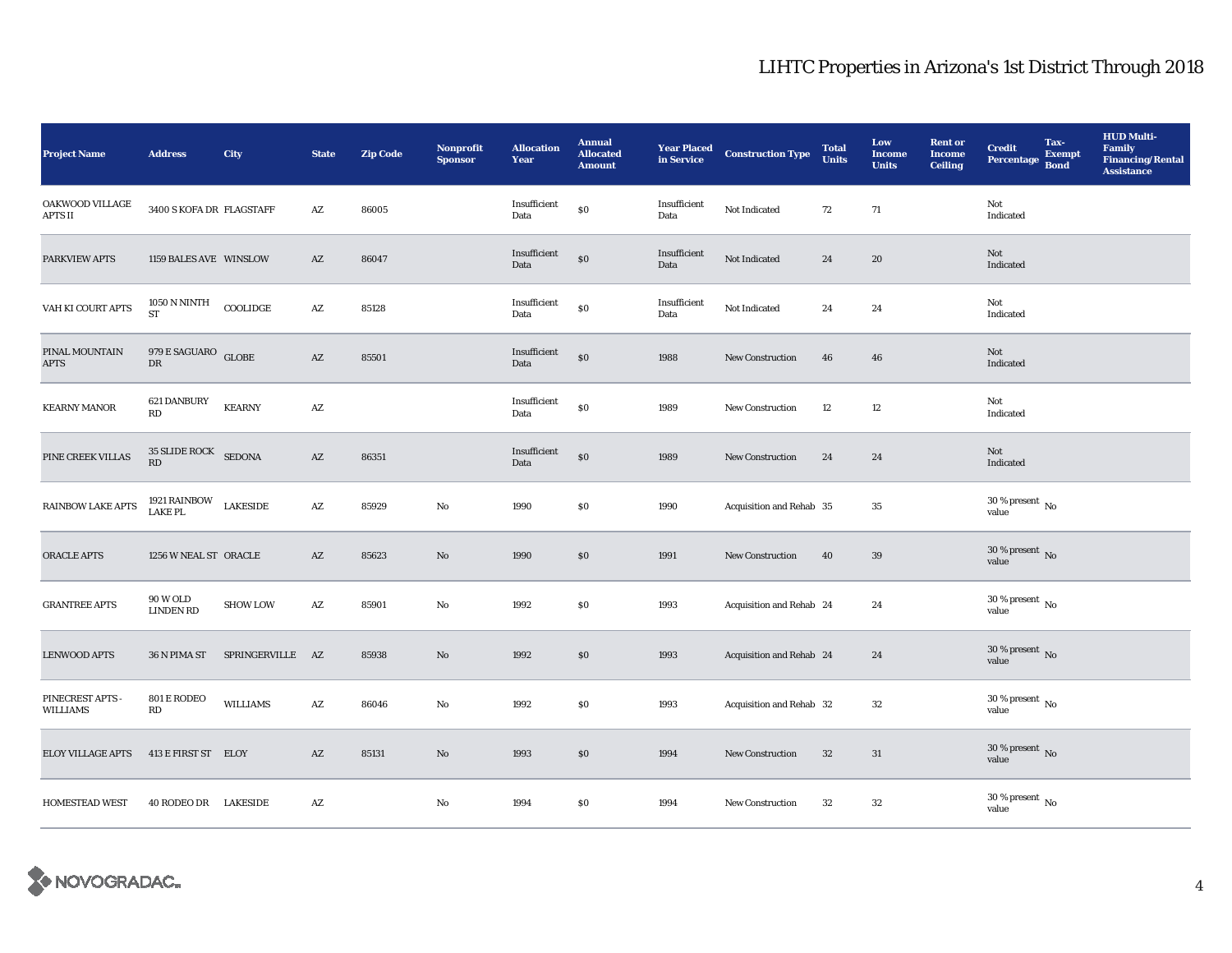| <b>Project Name</b>                 | <b>Address</b>                           | <b>City</b>      | <b>State</b>           | <b>Zip Code</b> | Nonprofit<br><b>Sponsor</b> | <b>Allocation</b><br>Year | <b>Annual</b><br><b>Allocated</b><br><b>Amount</b> | <b>Year Placed<br/>in Service</b> | <b>Construction Type</b> | <b>Total</b><br><b>Units</b> | Low<br><b>Income</b><br><b>Units</b> | <b>Rent</b> or<br><b>Income</b><br><b>Ceiling</b> | Tax-<br><b>Credit</b><br><b>Exempt</b><br>Percentage<br><b>Bond</b> | <b>HUD Multi-</b><br>Family<br><b>Financing/Rental</b><br><b>Assistance</b> |
|-------------------------------------|------------------------------------------|------------------|------------------------|-----------------|-----------------------------|---------------------------|----------------------------------------------------|-----------------------------------|--------------------------|------------------------------|--------------------------------------|---------------------------------------------------|---------------------------------------------------------------------|-----------------------------------------------------------------------------|
| OAKWOOD VILLAGE<br><b>APTS II</b>   | 3400 S KOFA DR FLAGSTAFF                 |                  | $\mathbf{A}\mathbf{Z}$ | 86005           |                             | Insufficient<br>Data      | \$0                                                | Insufficient<br>Data              | Not Indicated            | 72                           | 71                                   |                                                   | Not<br>Indicated                                                    |                                                                             |
| PARKVIEW APTS                       | 1159 BALES AVE WINSLOW                   |                  | $\mathbf{A}\mathbf{Z}$ | 86047           |                             | Insufficient<br>Data      | \$0                                                | Insufficient<br>Data              | Not Indicated            | 24                           | 20                                   |                                                   | Not<br>Indicated                                                    |                                                                             |
| VAH KI COURT APTS                   | $1050$ N NINTH<br><b>ST</b>              | COOLIDGE         | $\mathbf{A}\mathbf{Z}$ | 85128           |                             | Insufficient<br>Data      | \$0                                                | Insufficient<br>Data              | Not Indicated            | 24                           | 24                                   |                                                   | Not<br>Indicated                                                    |                                                                             |
| PINAL MOUNTAIN<br><b>APTS</b>       | 979 $\mathsf E$ SAGUARO $\;$ GLOBE<br>DR |                  | $\mathbf{A}\mathbf{Z}$ | 85501           |                             | Insufficient<br>Data      | \$0                                                | 1988                              | <b>New Construction</b>  | 46                           | 46                                   |                                                   | Not<br>Indicated                                                    |                                                                             |
| <b>KEARNY MANOR</b>                 | 621 DANBURY<br>RD                        | <b>KEARNY</b>    | $\mathbf{A}\mathbf{Z}$ |                 |                             | Insufficient<br>Data      | \$0                                                | 1989                              | <b>New Construction</b>  | 12                           | 12                                   |                                                   | Not<br>Indicated                                                    |                                                                             |
| PINE CREEK VILLAS                   | 35 SLIDE ROCK SEDONA<br>RD               |                  | $\mathbf{A}\mathbf{Z}$ | 86351           |                             | Insufficient<br>Data      | \$0                                                | 1989                              | New Construction         | 24                           | 24                                   |                                                   | Not<br>Indicated                                                    |                                                                             |
| <b>RAINBOW LAKE APTS</b>            | 1921 RAINBOW<br>LAKE PL                  | <b>LAKESIDE</b>  | AZ                     | 85929           | $\mathbf{N}\mathbf{o}$      | 1990                      | <b>SO</b>                                          | 1990                              | Acquisition and Rehab 35 |                              | 35                                   |                                                   | $30$ % present $\,$ No $\,$<br>value                                |                                                                             |
| ORACLE APTS                         | 1256 W NEAL ST ORACLE                    |                  | $\mathbf{A}\mathbf{Z}$ | 85623           | No                          | 1990                      | \$0                                                | 1991                              | <b>New Construction</b>  | 40                           | 39                                   |                                                   | $30\,\%$ present $\,$ No value                                      |                                                                             |
| <b>GRANTREE APTS</b>                | <b>90 W OLD</b><br><b>LINDEN RD</b>      | <b>SHOW LOW</b>  | $\mathbf{A}\mathbf{Z}$ | 85901           | No                          | 1992                      | $\$0$                                              | 1993                              | Acquisition and Rehab 24 |                              | 24                                   |                                                   | 30 % present $\,$ No $\,$<br>value                                  |                                                                             |
| <b>LENWOOD APTS</b>                 | 36 N PIMA ST                             | SPRINGERVILLE AZ |                        | 85938           | No                          | 1992                      | $\$0$                                              | 1993                              | Acquisition and Rehab 24 |                              | 24                                   |                                                   | $30$ % present $\,$ No $\,$<br>value                                |                                                                             |
| PINECREST APTS -<br><b>WILLIAMS</b> | 801 E RODEO<br>RD                        | <b>WILLIAMS</b>  | $\mathbf{A}\mathbf{Z}$ | 86046           | No                          | 1992                      | \$0                                                | 1993                              | Acquisition and Rehab 32 |                              | $32\,$                               |                                                   | $30\,\%$ present $\,$ No value                                      |                                                                             |
| <b>ELOY VILLAGE APTS</b>            | 413 E FIRST ST ELOY                      |                  | $\mathbf{A}\mathbf{Z}$ | 85131           | $\mathbf{N}\mathbf{o}$      | 1993                      | \$0                                                | 1994                              | <b>New Construction</b>  | 32                           | 31                                   |                                                   | 30 % present $\,$ No $\,$<br>value                                  |                                                                             |
| <b>HOMESTEAD WEST</b>               | 40 RODEO DR LAKESIDE                     |                  | AZ                     |                 | No                          | 1994                      | $\$0$                                              | 1994                              | <b>New Construction</b>  | 32                           | $32\,$                               |                                                   | 30 % present $\,$ No $\,$<br>value                                  |                                                                             |

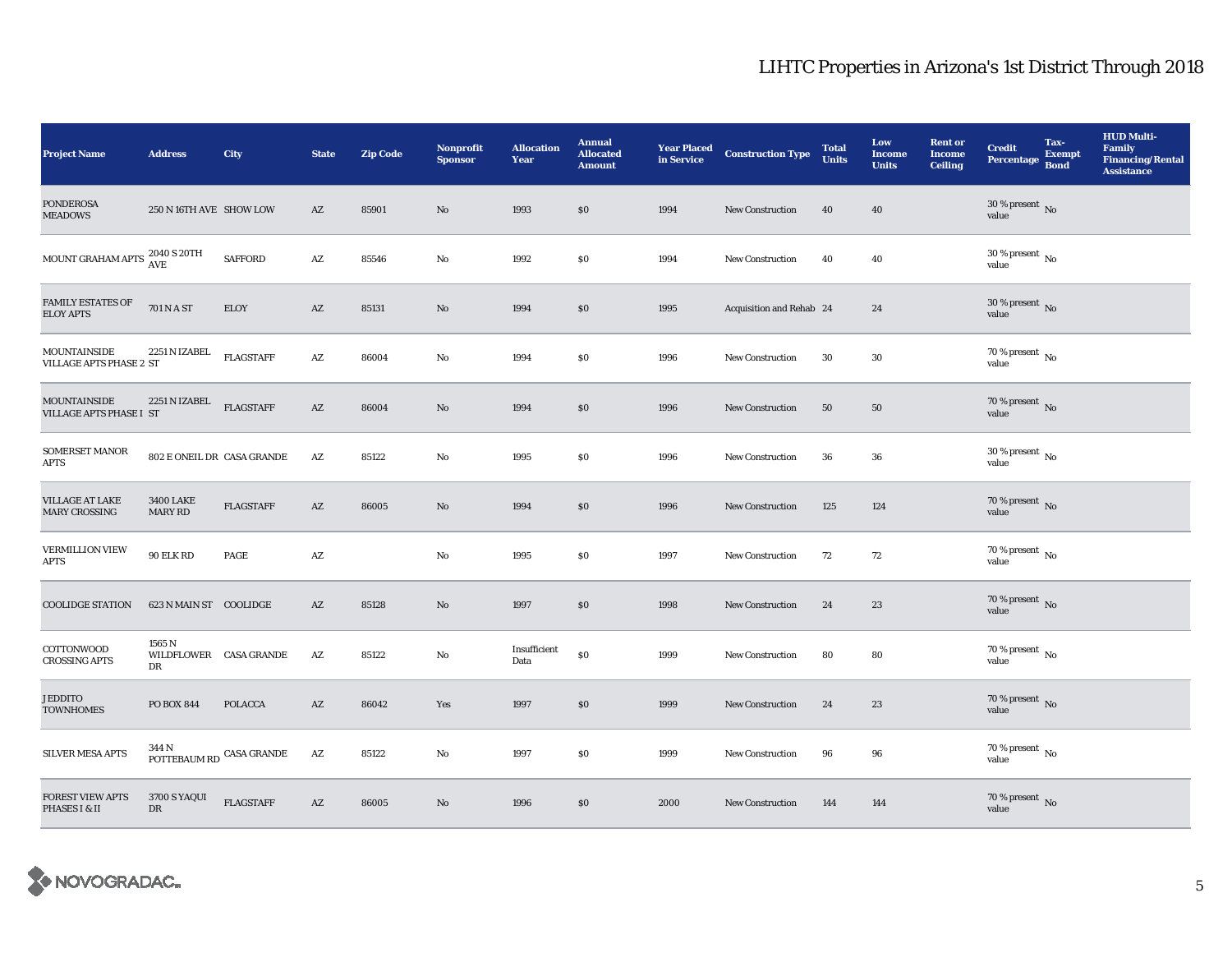| <b>Project Name</b>                                   | <b>Address</b>                         | <b>City</b>      | <b>State</b>           | <b>Zip Code</b> | <b>Nonprofit</b><br><b>Sponsor</b> | <b>Allocation</b><br>Year | <b>Annual</b><br><b>Allocated</b><br><b>Amount</b> | <b>Year Placed</b><br>in Service | <b>Construction Type</b> | <b>Total</b><br><b>Units</b> | Low<br><b>Income</b><br><b>Units</b> | <b>Rent or</b><br><b>Income</b><br><b>Ceiling</b> | <b>Credit</b><br><b>Percentage</b>       | Tax-<br><b>Exempt</b><br><b>Bond</b> | <b>HUD Multi-</b><br><b>Family</b><br><b>Financing/Rental</b><br><b>Assistance</b> |
|-------------------------------------------------------|----------------------------------------|------------------|------------------------|-----------------|------------------------------------|---------------------------|----------------------------------------------------|----------------------------------|--------------------------|------------------------------|--------------------------------------|---------------------------------------------------|------------------------------------------|--------------------------------------|------------------------------------------------------------------------------------|
| <b>PONDEROSA</b><br><b>MEADOWS</b>                    | 250 N 16TH AVE SHOW LOW                |                  | AZ                     | 85901           | No                                 | 1993                      | $\$0$                                              | 1994                             | <b>New Construction</b>  | 40                           | 40                                   |                                                   | $30\,\%$ present $\,$ No value           |                                      |                                                                                    |
| MOUNT GRAHAM APTS $^{2040}_{\text{AVE}}$ S 20TH       |                                        | <b>SAFFORD</b>   | AZ                     | 85546           | No                                 | 1992                      | \$0                                                | 1994                             | <b>New Construction</b>  | 40                           | 40                                   |                                                   | 30 % present $\overline{N_0}$<br>value   |                                      |                                                                                    |
| <b>FAMILY ESTATES OF</b><br><b>ELOY APTS</b>          | 701 N A ST                             | <b>ELOY</b>      | AZ                     | 85131           | $\mathbf{N}\mathbf{o}$             | 1994                      | \$0\$                                              | 1995                             | Acquisition and Rehab 24 |                              | 24                                   |                                                   | $30$ % present $\,$ No $\,$<br>value     |                                      |                                                                                    |
| <b>MOUNTAINSIDE</b><br><b>VILLAGE APTS PHASE 2 ST</b> | 2251 N IZABEL                          | <b>FLAGSTAFF</b> | $\mathbf{A}\mathbf{Z}$ | 86004           | No                                 | 1994                      | $\$0$                                              | 1996                             | <b>New Construction</b>  | 30                           | $30\,$                               |                                                   | 70 % present $\,$ No $\,$<br>value       |                                      |                                                                                    |
| <b>MOUNTAINSIDE</b><br>VILLAGE APTS PHASE I ST        | 2251 N IZABEL                          | <b>FLAGSTAFF</b> | $\mathbf{A}\mathbf{Z}$ | 86004           | No                                 | 1994                      | $\$0$                                              | 1996                             | <b>New Construction</b>  | 50                           | 50                                   |                                                   | 70 % present $\hbox{~No}$<br>value       |                                      |                                                                                    |
| <b>SOMERSET MANOR</b><br><b>APTS</b>                  | 802 E ONEIL DR CASA GRANDE             |                  | AZ                     | 85122           | No                                 | 1995                      | \$0\$                                              | 1996                             | <b>New Construction</b>  | 36                           | 36                                   |                                                   | $30\,\%$ present $_{\, \rm No}$<br>value |                                      |                                                                                    |
| VILLAGE AT LAKE<br><b>MARY CROSSING</b>               | <b>3400 LAKE</b><br><b>MARY RD</b>     | <b>FLAGSTAFF</b> | AZ                     | 86005           | No                                 | 1994                      | \$0                                                | 1996                             | New Construction         | 125                          | 124                                  |                                                   | $70$ % present $\,$ No value             |                                      |                                                                                    |
| <b>VERMILLION VIEW</b><br>APTS                        | 90 ELK RD                              | PAGE             | AZ                     |                 | No                                 | 1995                      | \$0                                                | 1997                             | New Construction         | 72                           | 72                                   |                                                   | 70 % present $\,$ No $\,$<br>value       |                                      |                                                                                    |
| <b>COOLIDGE STATION</b>                               | 623 N MAIN ST COOLIDGE                 |                  | AZ                     | 85128           | No                                 | 1997                      | \$0                                                | 1998                             | New Construction         | 24                           | 23                                   |                                                   | 70 % present $\overline{N}$<br>value     |                                      |                                                                                    |
| COTTONWOOD<br><b>CROSSING APTS</b>                    | 1565 N<br>WILDFLOWER CASA GRANDE<br>DR |                  | $\mathbf{A}\mathbf{Z}$ | 85122           | No                                 | Insufficient<br>Data      | \$0                                                | 1999                             | New Construction         | 80                           | 80                                   |                                                   | $70$ % present $\,$ No $\,$<br>value     |                                      |                                                                                    |
| <b>JEDDITO</b><br><b>TOWNHOMES</b>                    | <b>PO BOX 844</b>                      | <b>POLACCA</b>   | $\mathbf{A}\mathbf{Z}$ | 86042           | Yes                                | 1997                      | \$0                                                | 1999                             | <b>New Construction</b>  | 24                           | 23                                   |                                                   | $70\,\%$ present $\,$ No value           |                                      |                                                                                    |
| <b>SILVER MESA APTS</b>                               | 344 N<br>POTTEBAUM RD $\,$ CASA GRANDE |                  | $\mathbf{A}\mathbf{Z}$ | 85122           | No                                 | 1997                      | \$0                                                | 1999                             | <b>New Construction</b>  | 96                           | 96                                   |                                                   | $70$ % present $\,$ No $\,$<br>value     |                                      |                                                                                    |
| <b>FOREST VIEW APTS</b><br>PHASES I & II              | 3700 S YAQUI<br>DR                     | <b>FLAGSTAFF</b> | AZ                     | 86005           | No                                 | 1996                      | \$0                                                | 2000                             | <b>New Construction</b>  | 144                          | 144                                  |                                                   | 70 % present $\,$ No $\,$<br>value       |                                      |                                                                                    |

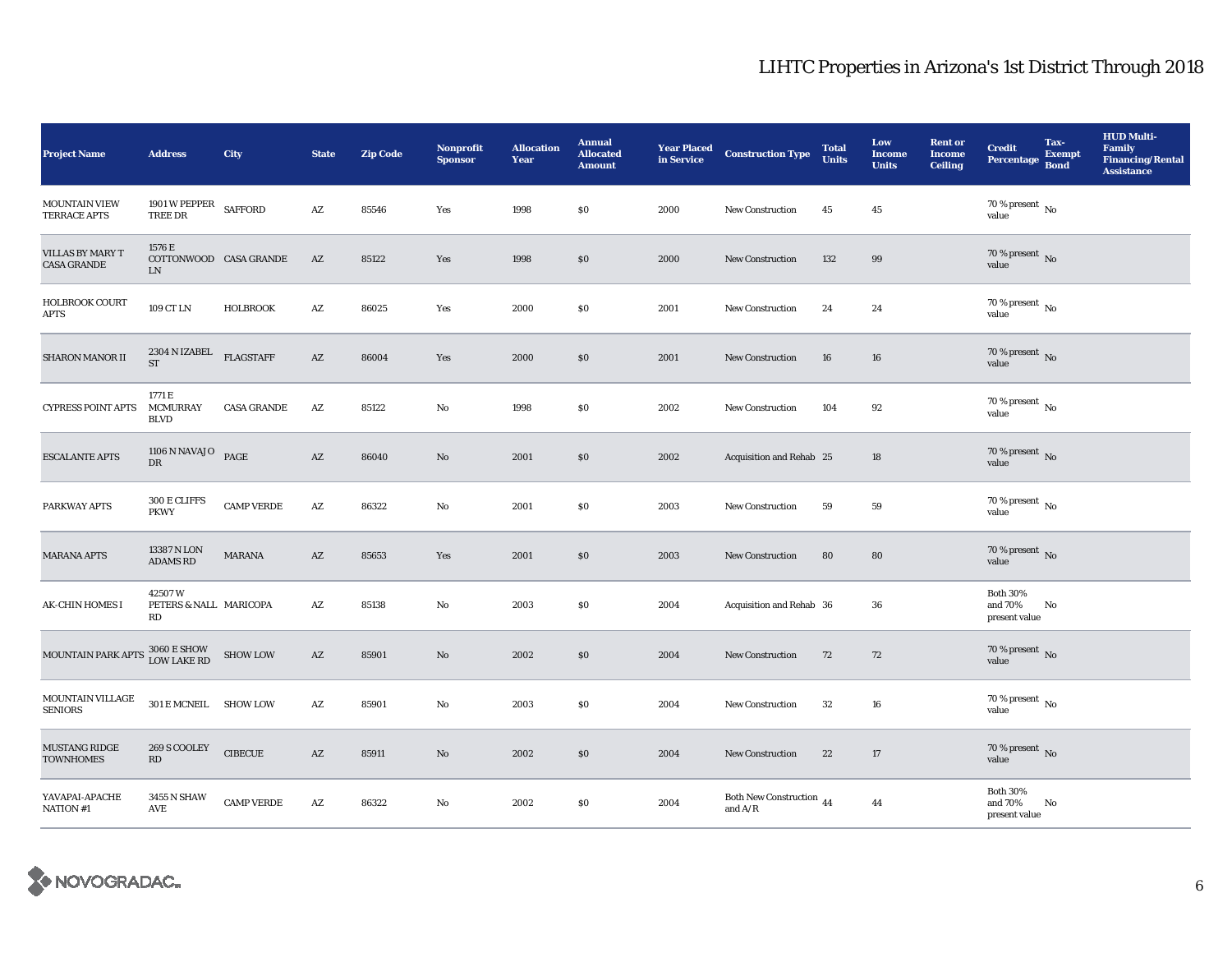| <b>Project Name</b>                           | <b>Address</b>                               | <b>City</b>        | <b>State</b>           | <b>Zip Code</b> | <b>Nonprofit</b><br><b>Sponsor</b> | <b>Allocation</b><br>Year | <b>Annual</b><br><b>Allocated</b><br><b>Amount</b> | <b>Year Placed</b><br>in Service | <b>Construction Type</b>              | <b>Total</b><br><b>Units</b> | Low<br><b>Income</b><br><b>Units</b> | <b>Rent or</b><br><b>Income</b><br><b>Ceiling</b> | <b>Credit</b><br><b>Percentage</b>          | Tax-<br><b>Exempt</b><br><b>Bond</b> | <b>HUD Multi-</b><br><b>Family</b><br><b>Financing/Rental</b><br><b>Assistance</b> |
|-----------------------------------------------|----------------------------------------------|--------------------|------------------------|-----------------|------------------------------------|---------------------------|----------------------------------------------------|----------------------------------|---------------------------------------|------------------------------|--------------------------------------|---------------------------------------------------|---------------------------------------------|--------------------------------------|------------------------------------------------------------------------------------|
| <b>MOUNTAIN VIEW</b><br>TERRACE APTS          | 1901 W PEPPER<br><b>TREE DR</b>              | <b>SAFFORD</b>     | $\mathbf{A}\mathbf{Z}$ | 85546           | Yes                                | 1998                      | \$0                                                | 2000                             | New Construction                      | 45                           | 45                                   |                                                   | $70$ % present $\,$ No $\,$<br>value        |                                      |                                                                                    |
| <b>VILLAS BY MARY T</b><br><b>CASA GRANDE</b> | 1576 E<br>COTTONWOOD CASA GRANDE<br>LN       |                    | $\mathbf{A}\mathbf{Z}$ | 85122           | Yes                                | 1998                      | \$0                                                | 2000                             | <b>New Construction</b>               | 132                          | 99                                   |                                                   | 70 % present $\overline{N_0}$<br>value      |                                      |                                                                                    |
| <b>HOLBROOK COURT</b><br><b>APTS</b>          | 109 CT LN                                    | <b>HOLBROOK</b>    | A Z                    | 86025           | Yes                                | 2000                      | \$0                                                | 2001                             | New Construction                      | 24                           | 24                                   |                                                   | 70 % present $\,$ No $\,$<br>value          |                                      |                                                                                    |
| <b>SHARON MANOR II</b>                        | 2304 N IZABEL<br><b>ST</b>                   | <b>FLAGSTAFF</b>   | AZ                     | 86004           | Yes                                | 2000                      | \$0                                                | 2001                             | New Construction                      | 16                           | 16                                   |                                                   | 70 % present $\overline{N}$<br>value        |                                      |                                                                                    |
| <b>CYPRESS POINT APTS</b>                     | 1771 E<br><b>MCMURRAY</b><br><b>BLVD</b>     | <b>CASA GRANDE</b> | $\mathbf{A}\mathbf{Z}$ | 85122           | No                                 | 1998                      | \$0                                                | 2002                             | <b>New Construction</b>               | 104                          | 92                                   |                                                   | 70 % present $\,$ No $\,$<br>value          |                                      |                                                                                    |
| <b>ESCALANTE APTS</b>                         | 1106 N NAVAJO $PAGE$<br>DR                   |                    | $\mathbf{A}\mathbf{Z}$ | 86040           | $\rm No$                           | 2001                      | \$0                                                | 2002                             | Acquisition and Rehab 25              |                              | 18                                   |                                                   | 70 % present $\,$ No $\,$<br>value          |                                      |                                                                                    |
| PARKWAY APTS                                  | 300 E CLIFFS<br><b>PKWY</b>                  | <b>CAMP VERDE</b>  | AZ                     | 86322           | $\mathbf{N}\mathbf{o}$             | 2001                      | \$0                                                | 2003                             | <b>New Construction</b>               | 59                           | 59                                   |                                                   | 70 % present $\,$ No $\,$<br>value          |                                      |                                                                                    |
| <b>MARANA APTS</b>                            | 13387 N LON<br><b>ADAMS RD</b>               | <b>MARANA</b>      | AZ                     | 85653           | Yes                                | 2001                      | \$0                                                | 2003                             | New Construction                      | 80                           | 80                                   |                                                   | 70 % present $\overline{N}$<br>value        |                                      |                                                                                    |
| <b>AK-CHIN HOMES I</b>                        | 42507W<br>PETERS & NALL MARICOPA<br>RD       |                    | AZ                     | 85138           | $\mathbf{N}\mathbf{o}$             | 2003                      | \$0                                                | 2004                             | Acquisition and Rehab 36              |                              | 36                                   |                                                   | <b>Both 30%</b><br>and 70%<br>present value | No                                   |                                                                                    |
| MOUNTAIN PARK APTS 3060 E SHOW                |                                              | <b>SHOW LOW</b>    | AZ                     | 85901           | No                                 | 2002                      | \$0                                                | 2004                             | <b>New Construction</b>               | 72                           | 72                                   |                                                   | $70\,\%$ present $\,$ No value              |                                      |                                                                                    |
| MOUNTAIN VILLAGE<br><b>SENIORS</b>            | 301 E MCNEIL SHOW LOW                        |                    | $\mathbf{A}\mathbf{Z}$ | 85901           | No                                 | 2003                      | \$0                                                | 2004                             | <b>New Construction</b>               | 32                           | 16                                   |                                                   | $70$ % present $\,$ No $\,$<br>value        |                                      |                                                                                    |
| <b>MUSTANG RIDGE</b><br><b>TOWNHOMES</b>      | 269 S COOLEY<br>RD                           | ${\bf CIBECUE}$    | AZ                     | 85911           | No                                 | 2002                      | \$0                                                | 2004                             | <b>New Construction</b>               | 22                           | 17                                   |                                                   | $70\,\%$ present $\,$ No value              |                                      |                                                                                    |
| YAVAPAI-APACHE<br>NATION #1                   | 3455 N SHAW<br>$\operatorname{\mathsf{AVE}}$ | <b>CAMP VERDE</b>  | AZ                     | 86322           | $\mathbf{No}$                      | 2002                      | \$0                                                | 2004                             | Both New Construction 44<br>and $A/R$ |                              | 44                                   |                                                   | <b>Both 30%</b><br>and 70%<br>present value | No                                   |                                                                                    |